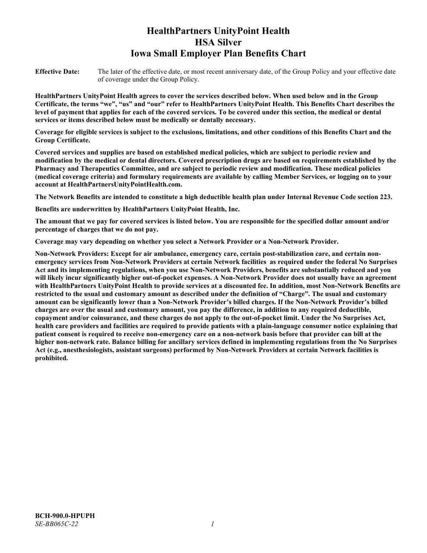# **HealthPartners UnityPoint Health HSA Silver Iowa Small Employer Plan Benefits Chart**

**Effective Date:** The later of the effective date, or most recent anniversary date, of the Group Policy and your effective date of coverage under the Group Policy.

**HealthPartners UnityPoint Health agrees to cover the services described below. When used below and in the Group Certificate, the terms "we", "us" and "our" refer to HealthPartners UnityPoint Health. This Benefits Chart describes the level of payment that applies for each of the covered services. To be covered under this section, the medical or dental services or items described below must be medically or dentally necessary.**

**Coverage for eligible services is subject to the exclusions, limitations, and other conditions of this Benefits Chart and the Group Certificate.** 

**Covered services and supplies are based on established medical policies, which are subject to periodic review and modification by the medical or dental directors. Covered prescription drugs are based on requirements established by the Pharmacy and Therapeutics Committee, and are subject to periodic review and modification. These medical policies (medical coverage criteria) and formulary requirements are available by calling Member Services, or logging on to your account at [HealthPartnersUnityPointHealth.com.](https://www.healthpartnersunitypointhealth.com/)**

**The Network Benefits are intended to constitute a high deductible health plan under Internal Revenue Code section 223.**

**Benefits are underwritten by HealthPartners UnityPoint Health, Inc.**

**The amount that we pay for covered services is listed below. You are responsible for the specified dollar amount and/or percentage of charges that we do not pay.**

**Coverage may vary depending on whether you select a Network Provider or a Non-Network Provider.**

**Non-Network Providers: Except for air ambulance, emergency care, certain post-stabilization care, and certain nonemergency services from Non-Network Providers at certain Network facilities as required under the federal No Surprises Act and its implementing regulations, when you use Non-Network Providers, benefits are substantially reduced and you will likely incur significantly higher out-of-pocket expenses. A Non-Network Provider does not usually have an agreement with HealthPartners UnityPoint Health to provide services at a discounted fee. In addition, most Non-Network Benefits are restricted to the usual and customary amount as described under the definition of "Charge". The usual and customary amount can be significantly lower than a Non-Network Provider's billed charges. If the Non-Network Provider's billed charges are over the usual and customary amount, you pay the difference, in addition to any required deductible, copayment and/or coinsurance, and these charges do not apply to the out-of-pocket limit. Under the No Surprises Act, health care providers and facilities are required to provide patients with a plain-language consumer notice explaining that patient consent is required to receive non-emergency care on a non-network basis before that provider can bill at the higher non-network rate. Balance billing for ancillary services defined in implementing regulations from the No Surprises Act (e.g., anesthesiologists, assistant surgeons) performed by Non-Network Providers at certain Network facilities is prohibited.**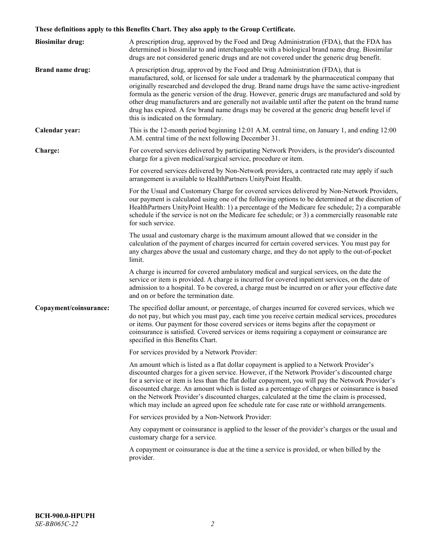# **These definitions apply to this Benefits Chart. They also apply to the Group Certificate.**

| <b>Biosimilar drug:</b> | A prescription drug, approved by the Food and Drug Administration (FDA), that the FDA has<br>determined is biosimilar to and interchangeable with a biological brand name drug. Biosimilar<br>drugs are not considered generic drugs and are not covered under the generic drug benefit.                                                                                                                                                                                                                                                                                                                                           |
|-------------------------|------------------------------------------------------------------------------------------------------------------------------------------------------------------------------------------------------------------------------------------------------------------------------------------------------------------------------------------------------------------------------------------------------------------------------------------------------------------------------------------------------------------------------------------------------------------------------------------------------------------------------------|
| <b>Brand name drug:</b> | A prescription drug, approved by the Food and Drug Administration (FDA), that is<br>manufactured, sold, or licensed for sale under a trademark by the pharmaceutical company that<br>originally researched and developed the drug. Brand name drugs have the same active-ingredient<br>formula as the generic version of the drug. However, generic drugs are manufactured and sold by<br>other drug manufacturers and are generally not available until after the patent on the brand name<br>drug has expired. A few brand name drugs may be covered at the generic drug benefit level if<br>this is indicated on the formulary. |
| Calendar year:          | This is the 12-month period beginning 12:01 A.M. central time, on January 1, and ending 12:00<br>A.M. central time of the next following December 31.                                                                                                                                                                                                                                                                                                                                                                                                                                                                              |
| Charge:                 | For covered services delivered by participating Network Providers, is the provider's discounted<br>charge for a given medical/surgical service, procedure or item.                                                                                                                                                                                                                                                                                                                                                                                                                                                                 |
|                         | For covered services delivered by Non-Network providers, a contracted rate may apply if such<br>arrangement is available to HealthPartners UnityPoint Health.                                                                                                                                                                                                                                                                                                                                                                                                                                                                      |
|                         | For the Usual and Customary Charge for covered services delivered by Non-Network Providers,<br>our payment is calculated using one of the following options to be determined at the discretion of<br>HealthPartners UnityPoint Health: 1) a percentage of the Medicare fee schedule; 2) a comparable<br>schedule if the service is not on the Medicare fee schedule; or 3) a commercially reasonable rate<br>for such service.                                                                                                                                                                                                     |
|                         | The usual and customary charge is the maximum amount allowed that we consider in the<br>calculation of the payment of charges incurred for certain covered services. You must pay for<br>any charges above the usual and customary charge, and they do not apply to the out-of-pocket<br>limit.                                                                                                                                                                                                                                                                                                                                    |
|                         | A charge is incurred for covered ambulatory medical and surgical services, on the date the<br>service or item is provided. A charge is incurred for covered inpatient services, on the date of<br>admission to a hospital. To be covered, a charge must be incurred on or after your effective date<br>and on or before the termination date.                                                                                                                                                                                                                                                                                      |
| Copayment/coinsurance:  | The specified dollar amount, or percentage, of charges incurred for covered services, which we<br>do not pay, but which you must pay, each time you receive certain medical services, procedures<br>or items. Our payment for those covered services or items begins after the copayment or<br>coinsurance is satisfied. Covered services or items requiring a copayment or coinsurance are<br>specified in this Benefits Chart.                                                                                                                                                                                                   |
|                         | For services provided by a Network Provider:                                                                                                                                                                                                                                                                                                                                                                                                                                                                                                                                                                                       |
|                         | An amount which is listed as a flat dollar copayment is applied to a Network Provider's<br>discounted charges for a given service. However, if the Network Provider's discounted charge<br>for a service or item is less than the flat dollar copayment, you will pay the Network Provider's<br>discounted charge. An amount which is listed as a percentage of charges or coinsurance is based<br>on the Network Provider's discounted charges, calculated at the time the claim is processed,<br>which may include an agreed upon fee schedule rate for case rate or withhold arrangements.                                      |
|                         | For services provided by a Non-Network Provider:                                                                                                                                                                                                                                                                                                                                                                                                                                                                                                                                                                                   |
|                         | Any copayment or coinsurance is applied to the lesser of the provider's charges or the usual and<br>customary charge for a service.                                                                                                                                                                                                                                                                                                                                                                                                                                                                                                |
|                         | A copayment or coinsurance is due at the time a service is provided, or when billed by the<br>provider.                                                                                                                                                                                                                                                                                                                                                                                                                                                                                                                            |
|                         |                                                                                                                                                                                                                                                                                                                                                                                                                                                                                                                                                                                                                                    |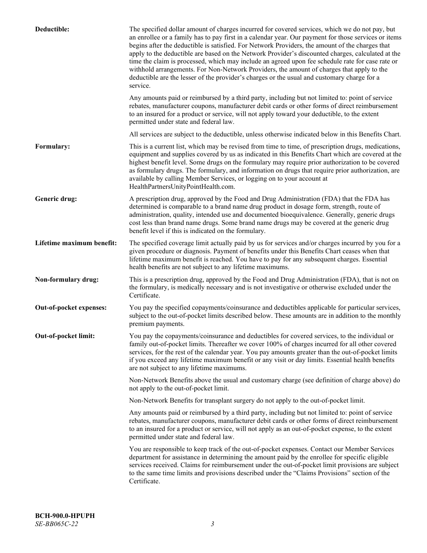| Deductible:               | The specified dollar amount of charges incurred for covered services, which we do not pay, but<br>an enrollee or a family has to pay first in a calendar year. Our payment for those services or items<br>begins after the deductible is satisfied. For Network Providers, the amount of the charges that<br>apply to the deductible are based on the Network Provider's discounted charges, calculated at the<br>time the claim is processed, which may include an agreed upon fee schedule rate for case rate or<br>withhold arrangements. For Non-Network Providers, the amount of charges that apply to the<br>deductible are the lesser of the provider's charges or the usual and customary charge for a<br>service. |
|---------------------------|----------------------------------------------------------------------------------------------------------------------------------------------------------------------------------------------------------------------------------------------------------------------------------------------------------------------------------------------------------------------------------------------------------------------------------------------------------------------------------------------------------------------------------------------------------------------------------------------------------------------------------------------------------------------------------------------------------------------------|
|                           | Any amounts paid or reimbursed by a third party, including but not limited to: point of service<br>rebates, manufacturer coupons, manufacturer debit cards or other forms of direct reimbursement<br>to an insured for a product or service, will not apply toward your deductible, to the extent<br>permitted under state and federal law.                                                                                                                                                                                                                                                                                                                                                                                |
|                           | All services are subject to the deductible, unless otherwise indicated below in this Benefits Chart.                                                                                                                                                                                                                                                                                                                                                                                                                                                                                                                                                                                                                       |
| Formulary:                | This is a current list, which may be revised from time to time, of prescription drugs, medications,<br>equipment and supplies covered by us as indicated in this Benefits Chart which are covered at the<br>highest benefit level. Some drugs on the formulary may require prior authorization to be covered<br>as formulary drugs. The formulary, and information on drugs that require prior authorization, are<br>available by calling Member Services, or logging on to your account at<br>HealthPartnersUnityPointHealth.com.                                                                                                                                                                                         |
| Generic drug:             | A prescription drug, approved by the Food and Drug Administration (FDA) that the FDA has<br>determined is comparable to a brand name drug product in dosage form, strength, route of<br>administration, quality, intended use and documented bioequivalence. Generally, generic drugs<br>cost less than brand name drugs. Some brand name drugs may be covered at the generic drug<br>benefit level if this is indicated on the formulary.                                                                                                                                                                                                                                                                                 |
| Lifetime maximum benefit: | The specified coverage limit actually paid by us for services and/or charges incurred by you for a<br>given procedure or diagnosis. Payment of benefits under this Benefits Chart ceases when that<br>lifetime maximum benefit is reached. You have to pay for any subsequent charges. Essential<br>health benefits are not subject to any lifetime maximums.                                                                                                                                                                                                                                                                                                                                                              |
| Non-formulary drug:       | This is a prescription drug, approved by the Food and Drug Administration (FDA), that is not on<br>the formulary, is medically necessary and is not investigative or otherwise excluded under the<br>Certificate.                                                                                                                                                                                                                                                                                                                                                                                                                                                                                                          |
| Out-of-pocket expenses:   | You pay the specified copayments/coinsurance and deductibles applicable for particular services,<br>subject to the out-of-pocket limits described below. These amounts are in addition to the monthly<br>premium payments.                                                                                                                                                                                                                                                                                                                                                                                                                                                                                                 |
| Out-of-pocket limit:      | You pay the copayments/coinsurance and deductibles for covered services, to the individual or<br>family out-of-pocket limits. Thereafter we cover 100% of charges incurred for all other covered<br>services, for the rest of the calendar year. You pay amounts greater than the out-of-pocket limits<br>if you exceed any lifetime maximum benefit or any visit or day limits. Essential health benefits<br>are not subject to any lifetime maximums.                                                                                                                                                                                                                                                                    |
|                           | Non-Network Benefits above the usual and customary charge (see definition of charge above) do<br>not apply to the out-of-pocket limit.                                                                                                                                                                                                                                                                                                                                                                                                                                                                                                                                                                                     |
|                           | Non-Network Benefits for transplant surgery do not apply to the out-of-pocket limit.                                                                                                                                                                                                                                                                                                                                                                                                                                                                                                                                                                                                                                       |
|                           | Any amounts paid or reimbursed by a third party, including but not limited to: point of service<br>rebates, manufacturer coupons, manufacturer debit cards or other forms of direct reimbursement<br>to an insured for a product or service, will not apply as an out-of-pocket expense, to the extent<br>permitted under state and federal law.                                                                                                                                                                                                                                                                                                                                                                           |
|                           | You are responsible to keep track of the out-of-pocket expenses. Contact our Member Services<br>department for assistance in determining the amount paid by the enrollee for specific eligible<br>services received. Claims for reimbursement under the out-of-pocket limit provisions are subject<br>to the same time limits and provisions described under the "Claims Provisions" section of the<br>Certificate.                                                                                                                                                                                                                                                                                                        |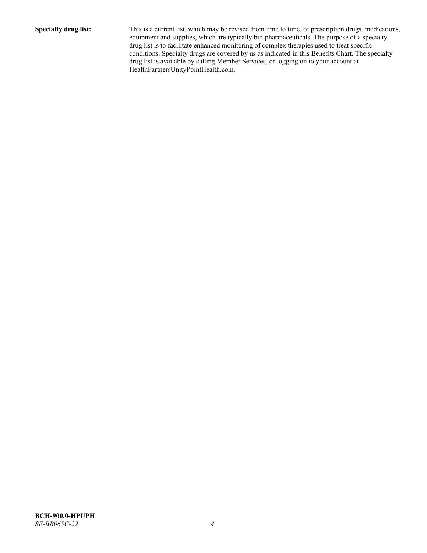**Specialty drug list:** This is a current list, which may be revised from time to time, of prescription drugs, medications, equipment and supplies, which are typically bio-pharmaceuticals. The purpose of a specialty drug list is to facilitate enhanced monitoring of complex therapies used to treat specific conditions. Specialty drugs are covered by us as indicated in this Benefits Chart. The specialty drug list is available by calling Member Services, or logging on to your account at [HealthPartnersUnityPointHealth.com.](https://www.healthpartnersunitypointhealth.com/)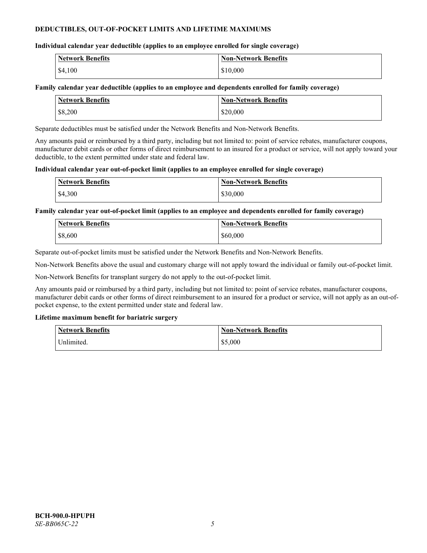### **DEDUCTIBLES, OUT-OF-POCKET LIMITS AND LIFETIME MAXIMUMS**

### **Individual calendar year deductible (applies to an employee enrolled for single coverage)**

| <b>Network Benefits</b> | <b>Non-Network Benefits</b> |
|-------------------------|-----------------------------|
| \$4,100                 | \$10,000                    |

### **Family calendar year deductible (applies to an employee and dependents enrolled for family coverage)**

| <b>Network Benefits</b> | <b>Non-Network Benefits</b> |
|-------------------------|-----------------------------|
| \$8,200                 | \$20,000                    |

Separate deductibles must be satisfied under the Network Benefits and Non-Network Benefits.

Any amounts paid or reimbursed by a third party, including but not limited to: point of service rebates, manufacturer coupons, manufacturer debit cards or other forms of direct reimbursement to an insured for a product or service, will not apply toward your deductible, to the extent permitted under state and federal law.

### **Individual calendar year out-of-pocket limit (applies to an employee enrolled for single coverage)**

| <b>Network Benefits</b> | <b>Non-Network Benefits</b> |
|-------------------------|-----------------------------|
| \$4,300                 | \$30,000                    |

**Family calendar year out-of-pocket limit (applies to an employee and dependents enrolled for family coverage)**

| <b>Network Benefits</b> | <b>Non-Network Benefits</b> |
|-------------------------|-----------------------------|
| \$8,600                 | \$60,000                    |

Separate out-of-pocket limits must be satisfied under the Network Benefits and Non-Network Benefits.

Non-Network Benefits above the usual and customary charge will not apply toward the individual or family out-of-pocket limit.

Non-Network Benefits for transplant surgery do not apply to the out-of-pocket limit.

Any amounts paid or reimbursed by a third party, including but not limited to: point of service rebates, manufacturer coupons, manufacturer debit cards or other forms of direct reimbursement to an insured for a product or service, will not apply as an out-ofpocket expense, to the extent permitted under state and federal law.

### **Lifetime maximum benefit for bariatric surgery**

| <b>Network Benefits</b> | <b>Non-Network Benefits</b> |
|-------------------------|-----------------------------|
| Unlimited.              | \$5,000                     |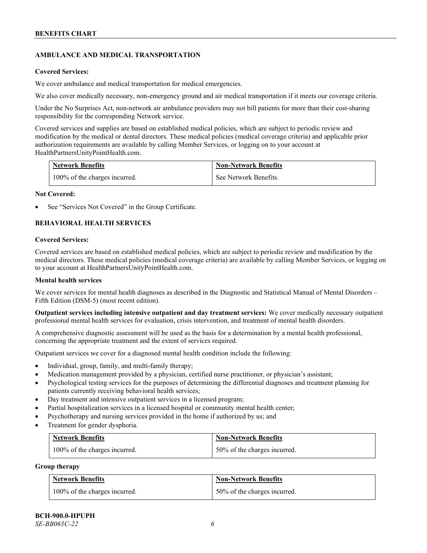# **AMBULANCE AND MEDICAL TRANSPORTATION**

#### **Covered Services:**

We cover ambulance and medical transportation for medical emergencies.

We also cover medically necessary, non-emergency ground and air medical transportation if it meets our coverage criteria.

Under the No Surprises Act, non-network air ambulance providers may not bill patients for more than their cost-sharing responsibility for the corresponding Network service.

Covered services and supplies are based on established medical policies, which are subject to periodic review and modification by the medical or dental directors. These medical policies (medical coverage criteria) and applicable prior authorization requirements are available by calling Member Services, or logging on to your account at [HealthPartnersUnityPointHealth.com.](https://www.healthpartnersunitypointhealth.com/)

| <b>Network Benefits</b>       | <b>Non-Network Benefits</b> |
|-------------------------------|-----------------------------|
| 100% of the charges incurred. | See Network Benefits.       |

#### **Not Covered:**

See "Services Not Covered" in the Group Certificate.

### **BEHAVIORAL HEALTH SERVICES**

#### **Covered Services:**

Covered services are based on established medical policies, which are subject to periodic review and modification by the medical directors. These medical policies (medical coverage criteria) are available by calling Member Services, or logging on to your account at [HealthPartnersUnityPointHealth.com.](https://www.healthpartnersunitypointhealth.com/)

#### **Mental health services**

We cover services for mental health diagnoses as described in the Diagnostic and Statistical Manual of Mental Disorders – Fifth Edition (DSM-5) (most recent edition).

**Outpatient services including intensive outpatient and day treatment services:** We cover medically necessary outpatient professional mental health services for evaluation, crisis intervention, and treatment of mental health disorders.

A comprehensive diagnostic assessment will be used as the basis for a determination by a mental health professional, concerning the appropriate treatment and the extent of services required.

Outpatient services we cover for a diagnosed mental health condition include the following:

- Individual, group, family, and multi-family therapy;
- Medication management provided by a physician, certified nurse practitioner, or physician's assistant;
- Psychological testing services for the purposes of determining the differential diagnoses and treatment planning for patients currently receiving behavioral health services;
- Day treatment and intensive outpatient services in a licensed program;
- Partial hospitalization services in a licensed hospital or community mental health center;
- Psychotherapy and nursing services provided in the home if authorized by us; and
- Treatment for gender dysphoria.

| Network Benefits              | <b>Non-Network Benefits</b>  |
|-------------------------------|------------------------------|
| 100% of the charges incurred. | 50% of the charges incurred. |

#### **Group therapy**

| <b>Network Benefits</b>       | <b>Non-Network Benefits</b>  |
|-------------------------------|------------------------------|
| 100% of the charges incurred. | 50% of the charges incurred. |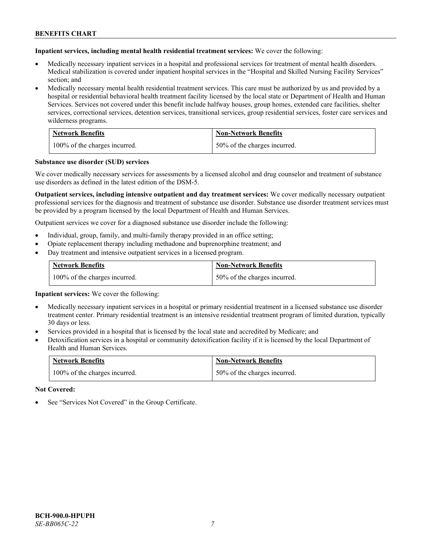**Inpatient services, including mental health residential treatment services:** We cover the following:

- Medically necessary inpatient services in a hospital and professional services for treatment of mental health disorders. Medical stabilization is covered under inpatient hospital services in the "Hospital and Skilled Nursing Facility Services" section; and
- Medically necessary mental health residential treatment services. This care must be authorized by us and provided by a hospital or residential behavioral health treatment facility licensed by the local state or Department of Health and Human Services. Services not covered under this benefit include halfway houses, group homes, extended care facilities, shelter services, correctional services, detention services, transitional services, group residential services, foster care services and wilderness programs.

| <b>Network Benefits</b>       | <b>Non-Network Benefits</b>  |
|-------------------------------|------------------------------|
| 100% of the charges incurred. | 50% of the charges incurred. |

#### **Substance use disorder (SUD) services**

We cover medically necessary services for assessments by a licensed alcohol and drug counselor and treatment of substance use disorders as defined in the latest edition of the DSM-5.

**Outpatient services, including intensive outpatient and day treatment services:** We cover medically necessary outpatient professional services for the diagnosis and treatment of substance use disorder. Substance use disorder treatment services must be provided by a program licensed by the local Department of Health and Human Services.

Outpatient services we cover for a diagnosed substance use disorder include the following:

- Individual, group, family, and multi-family therapy provided in an office setting;
- Opiate replacement therapy including methadone and buprenorphine treatment; and
- Day treatment and intensive outpatient services in a licensed program.

| <b>Network Benefits</b>       | <b>Non-Network Benefits</b>  |
|-------------------------------|------------------------------|
| 100% of the charges incurred. | 50% of the charges incurred. |

**Inpatient services:** We cover the following:

- Medically necessary inpatient services in a hospital or primary residential treatment in a licensed substance use disorder treatment center. Primary residential treatment is an intensive residential treatment program of limited duration, typically 30 days or less.
- Services provided in a hospital that is licensed by the local state and accredited by Medicare; and
- Detoxification services in a hospital or community detoxification facility if it is licensed by the local Department of Health and Human Services.

| <b>Network Benefits</b>       | <b>Non-Network Benefits</b>  |
|-------------------------------|------------------------------|
| 100% of the charges incurred. | 50% of the charges incurred. |

**Not Covered:**

See "Services Not Covered" in the Group Certificate.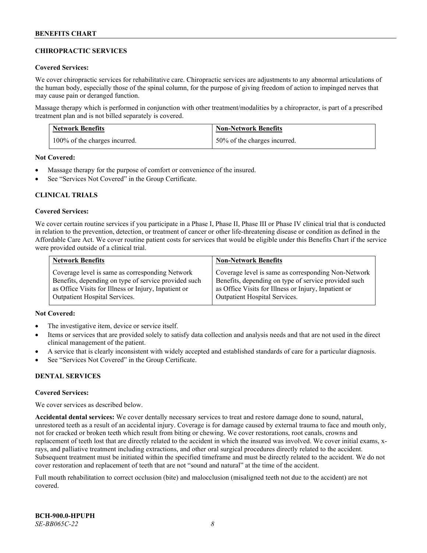### **CHIROPRACTIC SERVICES**

#### **Covered Services:**

We cover chiropractic services for rehabilitative care. Chiropractic services are adjustments to any abnormal articulations of the human body, especially those of the spinal column, for the purpose of giving freedom of action to impinged nerves that may cause pain or deranged function.

Massage therapy which is performed in conjunction with other treatment/modalities by a chiropractor, is part of a prescribed treatment plan and is not billed separately is covered.

| <b>Network Benefits</b>       | <b>Non-Network Benefits</b>  |
|-------------------------------|------------------------------|
| 100% of the charges incurred. | 50% of the charges incurred. |

**Not Covered:**

- Massage therapy for the purpose of comfort or convenience of the insured.
- See "Services Not Covered" in the Group Certificate.

### **CLINICAL TRIALS**

#### **Covered Services:**

We cover certain routine services if you participate in a Phase I, Phase II, Phase III or Phase IV clinical trial that is conducted in relation to the prevention, detection, or treatment of cancer or other life-threatening disease or condition as defined in the Affordable Care Act. We cover routine patient costs for services that would be eligible under this Benefits Chart if the service were provided outside of a clinical trial.

| <b>Network Benefits</b>                              | <b>Non-Network Benefits</b>                          |
|------------------------------------------------------|------------------------------------------------------|
| Coverage level is same as corresponding Network      | Coverage level is same as corresponding Non-Network  |
| Benefits, depending on type of service provided such | Benefits, depending on type of service provided such |
| as Office Visits for Illness or Injury, Inpatient or | as Office Visits for Illness or Injury, Inpatient or |
| <b>Outpatient Hospital Services.</b>                 | <b>Outpatient Hospital Services.</b>                 |

### **Not Covered:**

- The investigative item, device or service itself.
- Items or services that are provided solely to satisfy data collection and analysis needs and that are not used in the direct clinical management of the patient.
- A service that is clearly inconsistent with widely accepted and established standards of care for a particular diagnosis.
- See "Services Not Covered" in the Group Certificate.

### **DENTAL SERVICES**

#### **Covered Services:**

We cover services as described below.

**Accidental dental services:** We cover dentally necessary services to treat and restore damage done to sound, natural, unrestored teeth as a result of an accidental injury. Coverage is for damage caused by external trauma to face and mouth only, not for cracked or broken teeth which result from biting or chewing. We cover restorations, root canals, crowns and replacement of teeth lost that are directly related to the accident in which the insured was involved. We cover initial exams, xrays, and palliative treatment including extractions, and other oral surgical procedures directly related to the accident. Subsequent treatment must be initiated within the specified timeframe and must be directly related to the accident. We do not cover restoration and replacement of teeth that are not "sound and natural" at the time of the accident.

Full mouth rehabilitation to correct occlusion (bite) and malocclusion (misaligned teeth not due to the accident) are not covered.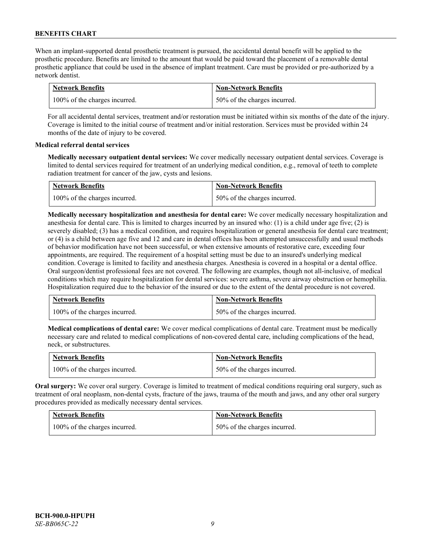When an implant-supported dental prosthetic treatment is pursued, the accidental dental benefit will be applied to the prosthetic procedure. Benefits are limited to the amount that would be paid toward the placement of a removable dental prosthetic appliance that could be used in the absence of implant treatment. Care must be provided or pre-authorized by a network dentist.

| <b>Network Benefits</b>       | <b>Non-Network Benefits</b>  |
|-------------------------------|------------------------------|
| 100% of the charges incurred. | 50% of the charges incurred. |

For all accidental dental services, treatment and/or restoration must be initiated within six months of the date of the injury. Coverage is limited to the initial course of treatment and/or initial restoration. Services must be provided within 24 months of the date of injury to be covered.

### **Medical referral dental services**

**Medically necessary outpatient dental services:** We cover medically necessary outpatient dental services. Coverage is limited to dental services required for treatment of an underlying medical condition, e.g., removal of teeth to complete radiation treatment for cancer of the jaw, cysts and lesions.

| <b>Network Benefits</b>       | <b>Non-Network Benefits</b>  |
|-------------------------------|------------------------------|
| 100% of the charges incurred. | 50% of the charges incurred. |

**Medically necessary hospitalization and anesthesia for dental care:** We cover medically necessary hospitalization and anesthesia for dental care. This is limited to charges incurred by an insured who: (1) is a child under age five; (2) is severely disabled; (3) has a medical condition, and requires hospitalization or general anesthesia for dental care treatment; or (4) is a child between age five and 12 and care in dental offices has been attempted unsuccessfully and usual methods of behavior modification have not been successful, or when extensive amounts of restorative care, exceeding four appointments, are required. The requirement of a hospital setting must be due to an insured's underlying medical condition. Coverage is limited to facility and anesthesia charges. Anesthesia is covered in a hospital or a dental office. Oral surgeon/dentist professional fees are not covered. The following are examples, though not all-inclusive, of medical conditions which may require hospitalization for dental services: severe asthma, severe airway obstruction or hemophilia. Hospitalization required due to the behavior of the insured or due to the extent of the dental procedure is not covered.

| <b>Network Benefits</b>       | <b>Non-Network Benefits</b>  |
|-------------------------------|------------------------------|
| 100% of the charges incurred. | 50% of the charges incurred. |

**Medical complications of dental care:** We cover medical complications of dental care. Treatment must be medically necessary care and related to medical complications of non-covered dental care, including complications of the head, neck, or substructures.

| <b>Network Benefits</b>       | <b>Non-Network Benefits</b>  |
|-------------------------------|------------------------------|
| 100% of the charges incurred. | 50% of the charges incurred. |

**Oral surgery:** We cover oral surgery. Coverage is limited to treatment of medical conditions requiring oral surgery, such as treatment of oral neoplasm, non-dental cysts, fracture of the jaws, trauma of the mouth and jaws, and any other oral surgery procedures provided as medically necessary dental services.

| <b>Network Benefits</b>       | <b>Non-Network Benefits</b>  |
|-------------------------------|------------------------------|
| 100% of the charges incurred. | 50% of the charges incurred. |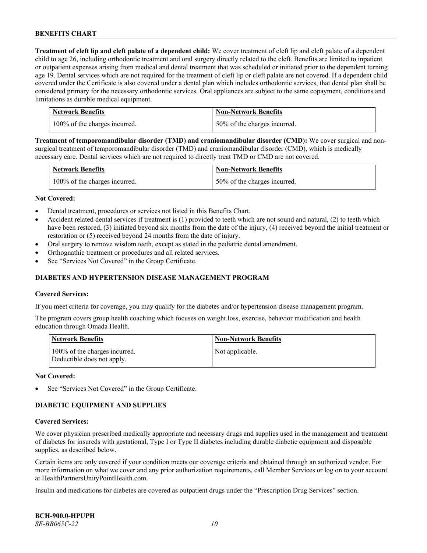**Treatment of cleft lip and cleft palate of a dependent child:** We cover treatment of cleft lip and cleft palate of a dependent child to age 26, including orthodontic treatment and oral surgery directly related to the cleft. Benefits are limited to inpatient or outpatient expenses arising from medical and dental treatment that was scheduled or initiated prior to the dependent turning age 19. Dental services which are not required for the treatment of cleft lip or cleft palate are not covered. If a dependent child covered under the Certificate is also covered under a dental plan which includes orthodontic services, that dental plan shall be considered primary for the necessary orthodontic services. Oral appliances are subject to the same copayment, conditions and limitations as durable medical equipment.

| <b>Network Benefits</b>       | <b>Non-Network Benefits</b>  |
|-------------------------------|------------------------------|
| 100% of the charges incurred. | 50% of the charges incurred. |

**Treatment of temporomandibular disorder (TMD) and craniomandibular disorder (CMD):** We cover surgical and nonsurgical treatment of temporomandibular disorder (TMD) and craniomandibular disorder (CMD), which is medically necessary care. Dental services which are not required to directly treat TMD or CMD are not covered.

| <b>Network Benefits</b>       | <b>Non-Network Benefits</b>  |
|-------------------------------|------------------------------|
| 100% of the charges incurred. | 50% of the charges incurred. |

#### **Not Covered:**

- Dental treatment, procedures or services not listed in this Benefits Chart.
- Accident related dental services if treatment is (1) provided to teeth which are not sound and natural, (2) to teeth which have been restored, (3) initiated beyond six months from the date of the injury, (4) received beyond the initial treatment or restoration or (5) received beyond 24 months from the date of injury.
- Oral surgery to remove wisdom teeth, except as stated in the pediatric dental amendment.
- Orthognathic treatment or procedures and all related services.
- See "Services Not Covered" in the Group Certificate.

#### **DIABETES AND HYPERTENSION DISEASE MANAGEMENT PROGRAM**

#### **Covered Services:**

If you meet criteria for coverage, you may qualify for the diabetes and/or hypertension disease management program.

The program covers group health coaching which focuses on weight loss, exercise, behavior modification and health education through Omada Health.

| <b>Network Benefits</b>                                     | <b>Non-Network Benefits</b> |
|-------------------------------------------------------------|-----------------------------|
| 100% of the charges incurred.<br>Deductible does not apply. | Not applicable.             |

#### **Not Covered:**

See "Services Not Covered" in the Group Certificate.

### **DIABETIC EQUIPMENT AND SUPPLIES**

#### **Covered Services:**

We cover physician prescribed medically appropriate and necessary drugs and supplies used in the management and treatment of diabetes for insureds with gestational, Type I or Type II diabetes including durable diabetic equipment and disposable supplies, as described below.

Certain items are only covered if your condition meets our coverage criteria and obtained through an authorized vendor. For more information on what we cover and any prior authorization requirements, call Member Services or log on to your account at [HealthPartnersUnityPointHealth.com.](https://www.healthpartnersunitypointhealth.com/)

Insulin and medications for diabetes are covered as outpatient drugs under the "Prescription Drug Services" section.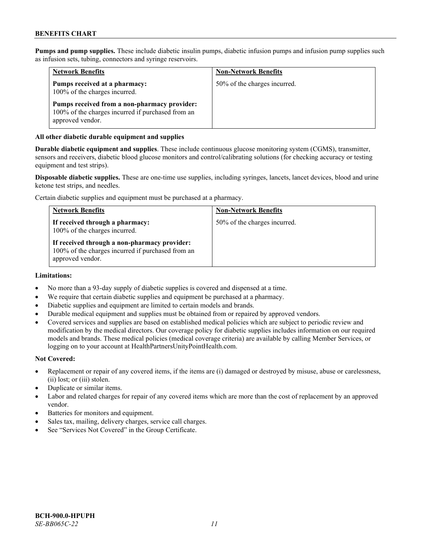**Pumps and pump supplies.** These include diabetic insulin pumps, diabetic infusion pumps and infusion pump supplies such as infusion sets, tubing, connectors and syringe reservoirs.

| <b>Network Benefits</b>                                                                                               | <b>Non-Network Benefits</b>  |
|-----------------------------------------------------------------------------------------------------------------------|------------------------------|
| Pumps received at a pharmacy:<br>100% of the charges incurred.                                                        | 50% of the charges incurred. |
| Pumps received from a non-pharmacy provider:<br>100% of the charges incurred if purchased from an<br>approved vendor. |                              |

#### **All other diabetic durable equipment and supplies**

**Durable diabetic equipment and supplies**. These include continuous glucose monitoring system (CGMS), transmitter, sensors and receivers, diabetic blood glucose monitors and control/calibrating solutions (for checking accuracy or testing equipment and test strips).

**Disposable diabetic supplies.** These are one-time use supplies, including syringes, lancets, lancet devices, blood and urine ketone test strips, and needles.

Certain diabetic supplies and equipment must be purchased at a pharmacy.

| <b>Network Benefits</b>                                                                                               | <b>Non-Network Benefits</b>  |
|-----------------------------------------------------------------------------------------------------------------------|------------------------------|
| If received through a pharmacy:<br>100% of the charges incurred.                                                      | 50% of the charges incurred. |
| If received through a non-pharmacy provider:<br>100% of the charges incurred if purchased from an<br>approved vendor. |                              |

#### **Limitations:**

- No more than a 93-day supply of diabetic supplies is covered and dispensed at a time.
- We require that certain diabetic supplies and equipment be purchased at a pharmacy.
- Diabetic supplies and equipment are limited to certain models and brands.
- Durable medical equipment and supplies must be obtained from or repaired by approved vendors.
- Covered services and supplies are based on established medical policies which are subject to periodic review and modification by the medical directors. Our coverage policy for diabetic supplies includes information on our required models and brands. These medical policies (medical coverage criteria) are available by calling Member Services, or logging on to your account a[t HealthPartnersUnityPointHealth.com.](https://www.healthpartnersunitypointhealth.com/)

#### **Not Covered:**

- Replacement or repair of any covered items, if the items are (i) damaged or destroyed by misuse, abuse or carelessness, (ii) lost; or (iii) stolen.
- Duplicate or similar items.
- Labor and related charges for repair of any covered items which are more than the cost of replacement by an approved vendor.
- Batteries for monitors and equipment.
- Sales tax, mailing, delivery charges, service call charges.
- See "Services Not Covered" in the Group Certificate.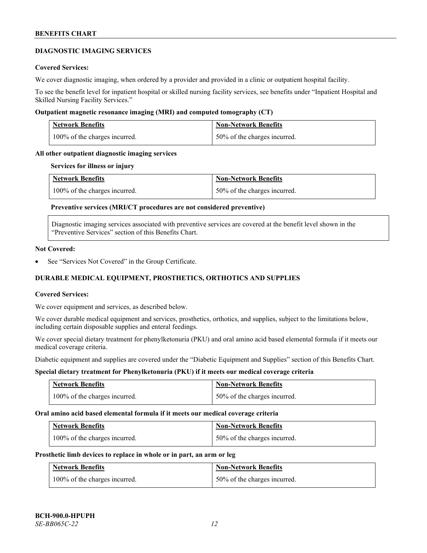#### **DIAGNOSTIC IMAGING SERVICES**

#### **Covered Services:**

We cover diagnostic imaging, when ordered by a provider and provided in a clinic or outpatient hospital facility.

To see the benefit level for inpatient hospital or skilled nursing facility services, see benefits under "Inpatient Hospital and Skilled Nursing Facility Services."

#### **Outpatient magnetic resonance imaging (MRI) and computed tomography (CT)**

| <b>Network Benefits</b>       | <b>Non-Network Benefits</b>  |
|-------------------------------|------------------------------|
| 100% of the charges incurred. | 50% of the charges incurred. |

#### **All other outpatient diagnostic imaging services**

#### **Services for illness or injury**

| <b>Network Benefits</b>       | <b>Non-Network Benefits</b>  |
|-------------------------------|------------------------------|
| 100% of the charges incurred. | 50% of the charges incurred. |

### **Preventive services (MRI/CT procedures are not considered preventive)**

Diagnostic imaging services associated with preventive services are covered at the benefit level shown in the "Preventive Services" section of this Benefits Chart.

#### **Not Covered:**

See "Services Not Covered" in the Group Certificate.

# **DURABLE MEDICAL EQUIPMENT, PROSTHETICS, ORTHOTICS AND SUPPLIES**

#### **Covered Services:**

We cover equipment and services, as described below.

We cover durable medical equipment and services, prosthetics, orthotics, and supplies, subject to the limitations below, including certain disposable supplies and enteral feedings.

We cover special dietary treatment for phenylketonuria (PKU) and oral amino acid based elemental formula if it meets our medical coverage criteria.

Diabetic equipment and supplies are covered under the "Diabetic Equipment and Supplies" section of this Benefits Chart.

### **Special dietary treatment for Phenylketonuria (PKU) if it meets our medical coverage criteria**

| <b>Network Benefits</b>       | Non-Network Benefits         |
|-------------------------------|------------------------------|
| 100% of the charges incurred. | 50% of the charges incurred. |

#### **Oral amino acid based elemental formula if it meets our medical coverage criteria**

| Network Benefits              | <b>Non-Network Benefits</b>  |
|-------------------------------|------------------------------|
| 100% of the charges incurred. | 50% of the charges incurred. |

#### **Prosthetic limb devices to replace in whole or in part, an arm or leg**

| <b>Network Benefits</b>       | <b>Non-Network Benefits</b>  |
|-------------------------------|------------------------------|
| 100% of the charges incurred. | 50% of the charges incurred. |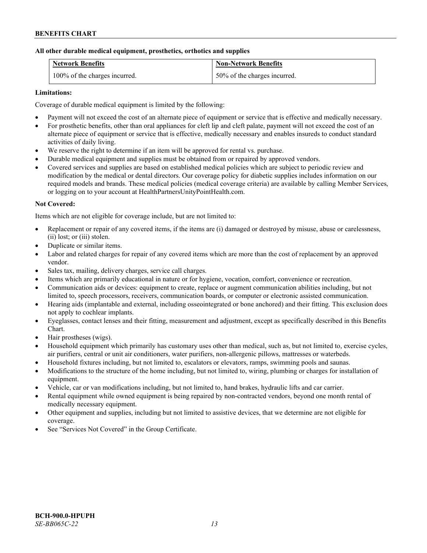#### **All other durable medical equipment, prosthetics, orthotics and supplies**

| <b>Network Benefits</b>       | <b>Non-Network Benefits</b>  |
|-------------------------------|------------------------------|
| 100% of the charges incurred. | 50% of the charges incurred. |

### **Limitations:**

Coverage of durable medical equipment is limited by the following:

- Payment will not exceed the cost of an alternate piece of equipment or service that is effective and medically necessary.
- For prosthetic benefits, other than oral appliances for cleft lip and cleft palate, payment will not exceed the cost of an alternate piece of equipment or service that is effective, medically necessary and enables insureds to conduct standard activities of daily living.
- We reserve the right to determine if an item will be approved for rental vs. purchase.
- Durable medical equipment and supplies must be obtained from or repaired by approved vendors.
- Covered services and supplies are based on established medical policies which are subject to periodic review and modification by the medical or dental directors. Our coverage policy for diabetic supplies includes information on our required models and brands. These medical policies (medical coverage criteria) are available by calling Member Services, or logging on to your account at [HealthPartnersUnityPointHealth.com.](https://www.healthpartnersunitypointhealth.com/)

### **Not Covered:**

Items which are not eligible for coverage include, but are not limited to:

- Replacement or repair of any covered items, if the items are (i) damaged or destroyed by misuse, abuse or carelessness, (ii) lost; or (iii) stolen.
- Duplicate or similar items.
- Labor and related charges for repair of any covered items which are more than the cost of replacement by an approved vendor.
- Sales tax, mailing, delivery charges, service call charges.
- Items which are primarily educational in nature or for hygiene, vocation, comfort, convenience or recreation.
- Communication aids or devices: equipment to create, replace or augment communication abilities including, but not limited to, speech processors, receivers, communication boards, or computer or electronic assisted communication.
- Hearing aids (implantable and external, including osseointegrated or bone anchored) and their fitting. This exclusion does not apply to cochlear implants.
- Eyeglasses, contact lenses and their fitting, measurement and adjustment, except as specifically described in this Benefits Chart.
- Hair prostheses (wigs).
- Household equipment which primarily has customary uses other than medical, such as, but not limited to, exercise cycles, air purifiers, central or unit air conditioners, water purifiers, non-allergenic pillows, mattresses or waterbeds.
- Household fixtures including, but not limited to, escalators or elevators, ramps, swimming pools and saunas.
- Modifications to the structure of the home including, but not limited to, wiring, plumbing or charges for installation of equipment.
- Vehicle, car or van modifications including, but not limited to, hand brakes, hydraulic lifts and car carrier.
- Rental equipment while owned equipment is being repaired by non-contracted vendors, beyond one month rental of medically necessary equipment.
- Other equipment and supplies, including but not limited to assistive devices, that we determine are not eligible for coverage.
- See "Services Not Covered" in the Group Certificate.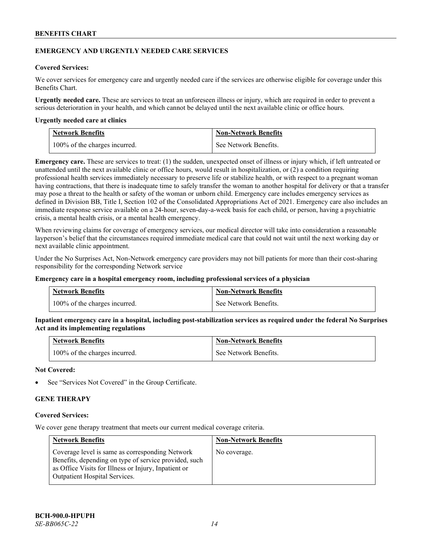#### **EMERGENCY AND URGENTLY NEEDED CARE SERVICES**

#### **Covered Services:**

We cover services for emergency care and urgently needed care if the services are otherwise eligible for coverage under this Benefits Chart.

**Urgently needed care.** These are services to treat an unforeseen illness or injury, which are required in order to prevent a serious deterioration in your health, and which cannot be delayed until the next available clinic or office hours.

#### **Urgently needed care at clinics**

| <b>Network Benefits</b>       | <b>Non-Network Benefits</b> |
|-------------------------------|-----------------------------|
| 100% of the charges incurred. | See Network Benefits.       |

**Emergency care.** These are services to treat: (1) the sudden, unexpected onset of illness or injury which, if left untreated or unattended until the next available clinic or office hours, would result in hospitalization, or (2) a condition requiring professional health services immediately necessary to preserve life or stabilize health, or with respect to a pregnant woman having contractions, that there is inadequate time to safely transfer the woman to another hospital for delivery or that a transfer may pose a threat to the health or safety of the woman or unborn child. Emergency care includes emergency services as defined in Division BB, Title I, Section 102 of the Consolidated Appropriations Act of 2021. Emergency care also includes an immediate response service available on a 24-hour, seven-day-a-week basis for each child, or person, having a psychiatric crisis, a mental health crisis, or a mental health emergency.

When reviewing claims for coverage of emergency services, our medical director will take into consideration a reasonable layperson's belief that the circumstances required immediate medical care that could not wait until the next working day or next available clinic appointment.

Under the No Surprises Act, Non-Network emergency care providers may not bill patients for more than their cost-sharing responsibility for the corresponding Network service

#### **Emergency care in a hospital emergency room, including professional services of a physician**

| <b>Network Benefits</b>       | <b>Non-Network Benefits</b> |
|-------------------------------|-----------------------------|
| 100% of the charges incurred. | See Network Benefits.       |

**Inpatient emergency care in a hospital, including post-stabilization services as required under the federal No Surprises Act and its implementing regulations**

| Network Benefits              | <b>Non-Network Benefits</b> |
|-------------------------------|-----------------------------|
| 100% of the charges incurred. | See Network Benefits.       |

#### **Not Covered:**

See "Services Not Covered" in the Group Certificate.

### **GENE THERAPY**

#### **Covered Services:**

We cover gene therapy treatment that meets our current medical coverage criteria.

| <b>Network Benefits</b>                                                                                                                                                                                  | <b>Non-Network Benefits</b> |
|----------------------------------------------------------------------------------------------------------------------------------------------------------------------------------------------------------|-----------------------------|
| Coverage level is same as corresponding Network<br>Benefits, depending on type of service provided, such<br>as Office Visits for Illness or Injury, Inpatient or<br><b>Outpatient Hospital Services.</b> | No coverage.                |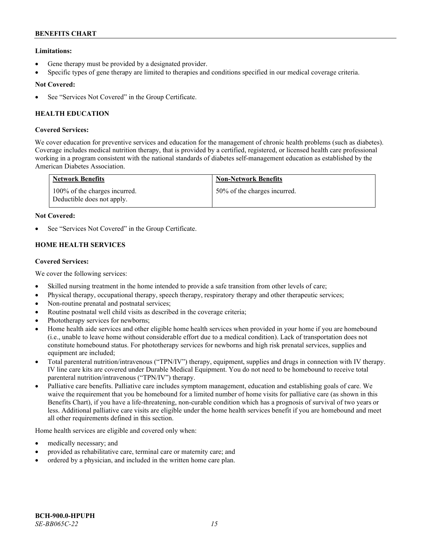### **Limitations:**

- Gene therapy must be provided by a designated provider.
- Specific types of gene therapy are limited to therapies and conditions specified in our medical coverage criteria.

### **Not Covered:**

See "Services Not Covered" in the Group Certificate.

# **HEALTH EDUCATION**

### **Covered Services:**

We cover education for preventive services and education for the management of chronic health problems (such as diabetes). Coverage includes medical nutrition therapy, that is provided by a certified, registered, or licensed health care professional working in a program consistent with the national standards of diabetes self-management education as established by the American Diabetes Association.

| <b>Network Benefits</b>                                     | <b>Non-Network Benefits</b>  |
|-------------------------------------------------------------|------------------------------|
| 100% of the charges incurred.<br>Deductible does not apply. | 50% of the charges incurred. |

### **Not Covered:**

See "Services Not Covered" in the Group Certificate.

### **HOME HEALTH SERVICES**

### **Covered Services:**

We cover the following services:

- Skilled nursing treatment in the home intended to provide a safe transition from other levels of care;
- Physical therapy, occupational therapy, speech therapy, respiratory therapy and other therapeutic services;
- Non-routine prenatal and postnatal services;
- Routine postnatal well child visits as described in the coverage criteria;
- Phototherapy services for newborns;
- Home health aide services and other eligible home health services when provided in your home if you are homebound (i.e., unable to leave home without considerable effort due to a medical condition). Lack of transportation does not constitute homebound status. For phototherapy services for newborns and high risk prenatal services, supplies and equipment are included;
- Total parenteral nutrition/intravenous ("TPN/IV") therapy, equipment, supplies and drugs in connection with IV therapy. IV line care kits are covered under Durable Medical Equipment. You do not need to be homebound to receive total parenteral nutrition/intravenous ("TPN/IV") therapy.
- Palliative care benefits. Palliative care includes symptom management, education and establishing goals of care. We waive the requirement that you be homebound for a limited number of home visits for palliative care (as shown in this Benefits Chart), if you have a life-threatening, non-curable condition which has a prognosis of survival of two years or less. Additional palliative care visits are eligible under the home health services benefit if you are homebound and meet all other requirements defined in this section.

Home health services are eligible and covered only when:

- medically necessary; and
- provided as rehabilitative care, terminal care or maternity care; and
- ordered by a physician, and included in the written home care plan.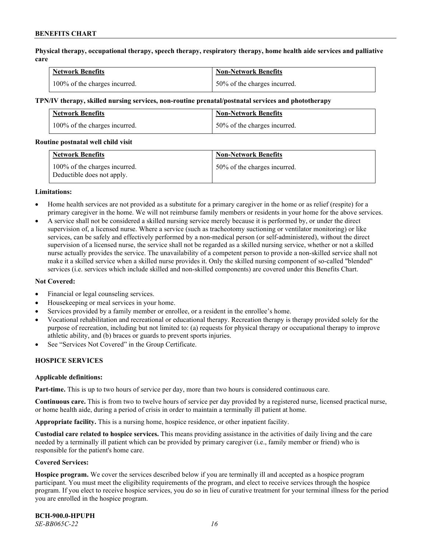**Physical therapy, occupational therapy, speech therapy, respiratory therapy, home health aide services and palliative care**

| <b>Network Benefits</b>       | <b>Non-Network Benefits</b>      |
|-------------------------------|----------------------------------|
| 100% of the charges incurred. | $150\%$ of the charges incurred. |

#### **TPN/IV therapy, skilled nursing services, non-routine prenatal/postnatal services and phototherapy**

| Network Benefits              | <b>Non-Network Benefits</b>  |
|-------------------------------|------------------------------|
| 100% of the charges incurred. | 50% of the charges incurred. |

#### **Routine postnatal well child visit**

| <b>Network Benefits</b>                                     | <b>Non-Network Benefits</b>  |
|-------------------------------------------------------------|------------------------------|
| 100% of the charges incurred.<br>Deductible does not apply. | 50% of the charges incurred. |

#### **Limitations:**

- Home health services are not provided as a substitute for a primary caregiver in the home or as relief (respite) for a primary caregiver in the home. We will not reimburse family members or residents in your home for the above services.
- A service shall not be considered a skilled nursing service merely because it is performed by, or under the direct supervision of, a licensed nurse. Where a service (such as tracheotomy suctioning or ventilator monitoring) or like services, can be safely and effectively performed by a non-medical person (or self-administered), without the direct supervision of a licensed nurse, the service shall not be regarded as a skilled nursing service, whether or not a skilled nurse actually provides the service. The unavailability of a competent person to provide a non-skilled service shall not make it a skilled service when a skilled nurse provides it. Only the skilled nursing component of so-called "blended" services (i.e. services which include skilled and non-skilled components) are covered under this Benefits Chart.

#### **Not Covered:**

- Financial or legal counseling services.
- Housekeeping or meal services in your home.
- Services provided by a family member or enrollee, or a resident in the enrollee's home.
- Vocational rehabilitation and recreational or educational therapy. Recreation therapy is therapy provided solely for the purpose of recreation, including but not limited to: (a) requests for physical therapy or occupational therapy to improve athletic ability, and (b) braces or guards to prevent sports injuries.
- See "Services Not Covered" in the Group Certificate.

### **HOSPICE SERVICES**

#### **Applicable definitions:**

**Part-time.** This is up to two hours of service per day, more than two hours is considered continuous care.

**Continuous care.** This is from two to twelve hours of service per day provided by a registered nurse, licensed practical nurse, or home health aide, during a period of crisis in order to maintain a terminally ill patient at home.

**Appropriate facility.** This is a nursing home, hospice residence, or other inpatient facility.

**Custodial care related to hospice services.** This means providing assistance in the activities of daily living and the care needed by a terminally ill patient which can be provided by primary caregiver (i.e., family member or friend) who is responsible for the patient's home care.

#### **Covered Services:**

**Hospice program.** We cover the services described below if you are terminally ill and accepted as a hospice program participant. You must meet the eligibility requirements of the program, and elect to receive services through the hospice program. If you elect to receive hospice services, you do so in lieu of curative treatment for your terminal illness for the period you are enrolled in the hospice program.

**BCH-900.0-HPUPH** *SE-BB065C-22 16*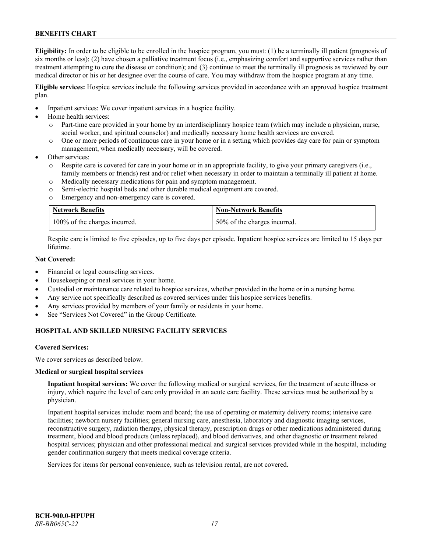**Eligibility:** In order to be eligible to be enrolled in the hospice program, you must: (1) be a terminally ill patient (prognosis of six months or less); (2) have chosen a palliative treatment focus (i.e., emphasizing comfort and supportive services rather than treatment attempting to cure the disease or condition); and (3) continue to meet the terminally ill prognosis as reviewed by our medical director or his or her designee over the course of care. You may withdraw from the hospice program at any time.

**Eligible services:** Hospice services include the following services provided in accordance with an approved hospice treatment plan.

- Inpatient services: We cover inpatient services in a hospice facility.
- Home health services:
	- o Part-time care provided in your home by an interdisciplinary hospice team (which may include a physician, nurse, social worker, and spiritual counselor) and medically necessary home health services are covered.
	- o One or more periods of continuous care in your home or in a setting which provides day care for pain or symptom management, when medically necessary, will be covered.
- Other services:
	- Respite care is covered for care in your home or in an appropriate facility, to give your primary caregivers (i.e., family members or friends) rest and/or relief when necessary in order to maintain a terminally ill patient at home.
	- o Medically necessary medications for pain and symptom management.
	- o Semi-electric hospital beds and other durable medical equipment are covered.
	- o Emergency and non-emergency care is covered.

| <b>Network Benefits</b>       | <b>Non-Network Benefits</b>  |
|-------------------------------|------------------------------|
| 100% of the charges incurred. | 50% of the charges incurred. |

Respite care is limited to five episodes, up to five days per episode. Inpatient hospice services are limited to 15 days per lifetime.

### **Not Covered:**

- Financial or legal counseling services.
- Housekeeping or meal services in your home.
- Custodial or maintenance care related to hospice services, whether provided in the home or in a nursing home.
- Any service not specifically described as covered services under this hospice services benefits.
- Any services provided by members of your family or residents in your home.
- See "Services Not Covered" in the Group Certificate.

# **HOSPITAL AND SKILLED NURSING FACILITY SERVICES**

#### **Covered Services:**

We cover services as described below.

#### **Medical or surgical hospital services**

**Inpatient hospital services:** We cover the following medical or surgical services, for the treatment of acute illness or injury, which require the level of care only provided in an acute care facility. These services must be authorized by a physician.

Inpatient hospital services include: room and board; the use of operating or maternity delivery rooms; intensive care facilities; newborn nursery facilities; general nursing care, anesthesia, laboratory and diagnostic imaging services, reconstructive surgery, radiation therapy, physical therapy, prescription drugs or other medications administered during treatment, blood and blood products (unless replaced), and blood derivatives, and other diagnostic or treatment related hospital services; physician and other professional medical and surgical services provided while in the hospital, including gender confirmation surgery that meets medical coverage criteria.

Services for items for personal convenience, such as television rental, are not covered.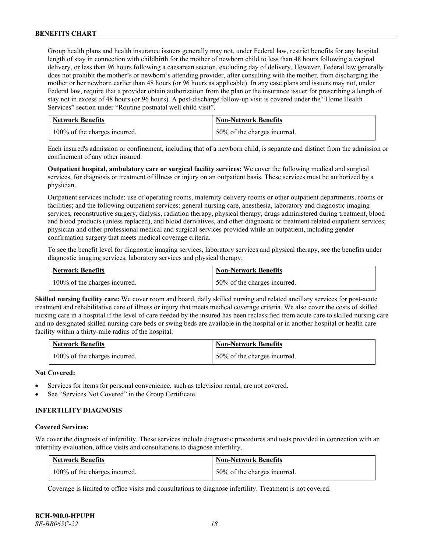Group health plans and health insurance issuers generally may not, under Federal law, restrict benefits for any hospital length of stay in connection with childbirth for the mother of newborn child to less than 48 hours following a vaginal delivery, or less than 96 hours following a caesarean section, excluding day of delivery. However, Federal law generally does not prohibit the mother's or newborn's attending provider, after consulting with the mother, from discharging the mother or her newborn earlier than 48 hours (or 96 hours as applicable). In any case plans and issuers may not, under Federal law, require that a provider obtain authorization from the plan or the insurance issuer for prescribing a length of stay not in excess of 48 hours (or 96 hours). A post-discharge follow-up visit is covered under the "Home Health Services" section under "Routine postnatal well child visit".

| <b>Network Benefits</b>       | <b>Non-Network Benefits</b>  |
|-------------------------------|------------------------------|
| 100% of the charges incurred. | 50% of the charges incurred. |

Each insured's admission or confinement, including that of a newborn child, is separate and distinct from the admission or confinement of any other insured.

**Outpatient hospital, ambulatory care or surgical facility services:** We cover the following medical and surgical services, for diagnosis or treatment of illness or injury on an outpatient basis. These services must be authorized by a physician.

Outpatient services include: use of operating rooms, maternity delivery rooms or other outpatient departments, rooms or facilities; and the following outpatient services: general nursing care, anesthesia, laboratory and diagnostic imaging services, reconstructive surgery, dialysis, radiation therapy, physical therapy, drugs administered during treatment, blood and blood products (unless replaced), and blood derivatives, and other diagnostic or treatment related outpatient services; physician and other professional medical and surgical services provided while an outpatient, including gender confirmation surgery that meets medical coverage criteria.

To see the benefit level for diagnostic imaging services, laboratory services and physical therapy, see the benefits under diagnostic imaging services, laboratory services and physical therapy.

| <b>Network Benefits</b>       | <b>Non-Network Benefits</b>  |
|-------------------------------|------------------------------|
| 100% of the charges incurred. | 50% of the charges incurred. |

**Skilled nursing facility care:** We cover room and board, daily skilled nursing and related ancillary services for post-acute treatment and rehabilitative care of illness or injury that meets medical coverage criteria. We also cover the costs of skilled nursing care in a hospital if the level of care needed by the insured has been reclassified from acute care to skilled nursing care and no designated skilled nursing care beds or swing beds are available in the hospital or in another hospital or health care facility within a thirty-mile radius of the hospital.

| <b>Network Benefits</b>       | <b>Non-Network Benefits</b>  |
|-------------------------------|------------------------------|
| 100% of the charges incurred. | 50% of the charges incurred. |

### **Not Covered:**

- Services for items for personal convenience, such as television rental, are not covered.
- See "Services Not Covered" in the Group Certificate.

### **INFERTILITY DIAGNOSIS**

#### **Covered Services:**

We cover the diagnosis of infertility. These services include diagnostic procedures and tests provided in connection with an infertility evaluation, office visits and consultations to diagnose infertility.

| <b>Network Benefits</b>       | <b>Non-Network Benefits</b>  |
|-------------------------------|------------------------------|
| 100% of the charges incurred. | 50% of the charges incurred. |

Coverage is limited to office visits and consultations to diagnose infertility. Treatment is not covered.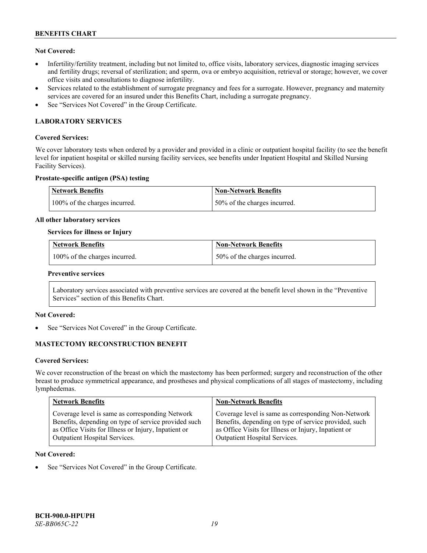### **Not Covered:**

- Infertility/fertility treatment, including but not limited to, office visits, laboratory services, diagnostic imaging services and fertility drugs; reversal of sterilization; and sperm, ova or embryo acquisition, retrieval or storage; however, we cover office visits and consultations to diagnose infertility.
- Services related to the establishment of surrogate pregnancy and fees for a surrogate. However, pregnancy and maternity services are covered for an insured under this Benefits Chart, including a surrogate pregnancy.
- See "Services Not Covered" in the Group Certificate.

# **LABORATORY SERVICES**

#### **Covered Services:**

We cover laboratory tests when ordered by a provider and provided in a clinic or outpatient hospital facility (to see the benefit level for inpatient hospital or skilled nursing facility services, see benefits under Inpatient Hospital and Skilled Nursing Facility Services).

### **Prostate-specific antigen (PSA) testing**

| Network Benefits              | Non-Network Benefits          |
|-------------------------------|-------------------------------|
| 100% of the charges incurred. | 150% of the charges incurred. |

#### **All other laboratory services**

#### **Services for illness or Injury**

| <b>Network Benefits</b>       | <b>Non-Network Benefits</b>  |
|-------------------------------|------------------------------|
| 100% of the charges incurred. | 50% of the charges incurred. |

#### **Preventive services**

Laboratory services associated with preventive services are covered at the benefit level shown in the "Preventive Services" section of this Benefits Chart.

### **Not Covered:**

See "Services Not Covered" in the Group Certificate.

### **MASTECTOMY RECONSTRUCTION BENEFIT**

#### **Covered Services:**

We cover reconstruction of the breast on which the mastectomy has been performed; surgery and reconstruction of the other breast to produce symmetrical appearance, and prostheses and physical complications of all stages of mastectomy, including lymphedemas.

| <b>Network Benefits</b>                              | <b>Non-Network Benefits</b>                           |
|------------------------------------------------------|-------------------------------------------------------|
| Coverage level is same as corresponding Network      | Coverage level is same as corresponding Non-Network   |
| Benefits, depending on type of service provided such | Benefits, depending on type of service provided, such |
| as Office Visits for Illness or Injury, Inpatient or | as Office Visits for Illness or Injury, Inpatient or  |
| Outpatient Hospital Services.                        | Outpatient Hospital Services.                         |

#### **Not Covered:**

See "Services Not Covered" in the Group Certificate.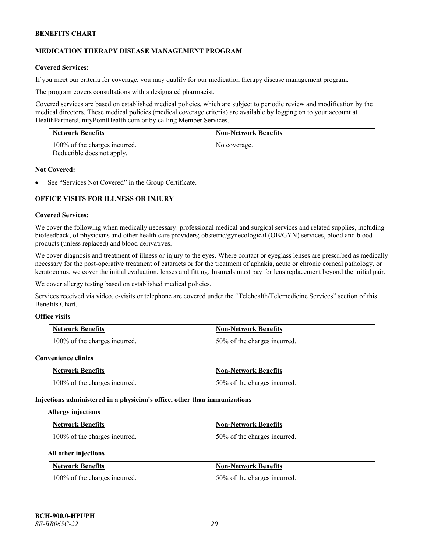### **MEDICATION THERAPY DISEASE MANAGEMENT PROGRAM**

### **Covered Services:**

If you meet our criteria for coverage, you may qualify for our medication therapy disease management program.

The program covers consultations with a designated pharmacist.

Covered services are based on established medical policies, which are subject to periodic review and modification by the medical directors. These medical policies (medical coverage criteria) are available by logging on to your account at [HealthPartnersUnityPointHealth.com](https://www.healthpartnersunitypointhealth.com/) or by calling Member Services.

| <b>Network Benefits</b>                                     | <b>Non-Network Benefits</b> |
|-------------------------------------------------------------|-----------------------------|
| 100% of the charges incurred.<br>Deductible does not apply. | No coverage.                |

#### **Not Covered:**

See "Services Not Covered" in the Group Certificate.

### **OFFICE VISITS FOR ILLNESS OR INJURY**

#### **Covered Services:**

We cover the following when medically necessary: professional medical and surgical services and related supplies, including biofeedback, of physicians and other health care providers; obstetric/gynecological (OB/GYN) services, blood and blood products (unless replaced) and blood derivatives.

We cover diagnosis and treatment of illness or injury to the eyes. Where contact or eyeglass lenses are prescribed as medically necessary for the post-operative treatment of cataracts or for the treatment of aphakia, acute or chronic corneal pathology, or keratoconus, we cover the initial evaluation, lenses and fitting. Insureds must pay for lens replacement beyond the initial pair.

We cover allergy testing based on established medical policies.

Services received via video, e-visits or telephone are covered under the "Telehealth/Telemedicine Services" section of this Benefits Chart.

# **Office visits**

| <b>Network Benefits</b>       | <b>Non-Network Benefits</b>  |
|-------------------------------|------------------------------|
| 100% of the charges incurred. | 50% of the charges incurred. |

#### **Convenience clinics**

| <b>Network Benefits</b>       | <b>Non-Network Benefits</b>  |
|-------------------------------|------------------------------|
| 100% of the charges incurred. | 50% of the charges incurred. |

#### **Injections administered in a physician's office, other than immunizations**

#### **Allergy injections**

| <b>Network Benefits</b>       | <b>Non-Network Benefits</b>  |
|-------------------------------|------------------------------|
| 100% of the charges incurred. | 50% of the charges incurred. |

#### **All other injections**

| <b>Network Benefits</b>       | <b>Non-Network Benefits</b>  |
|-------------------------------|------------------------------|
| 100% of the charges incurred. | 50% of the charges incurred. |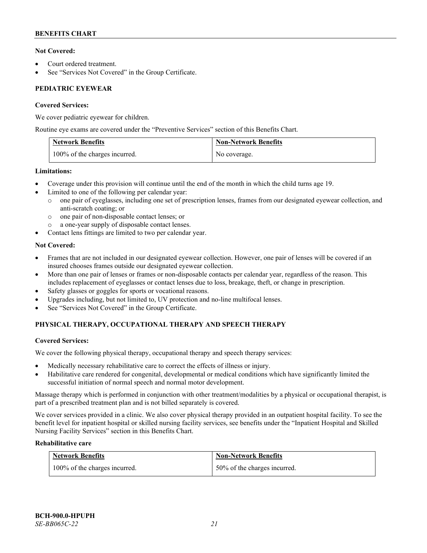### **Not Covered:**

- Court ordered treatment.
- See "Services Not Covered" in the Group Certificate.

## **PEDIATRIC EYEWEAR**

### **Covered Services:**

We cover pediatric eyewear for children.

Routine eye exams are covered under the "Preventive Services" section of this Benefits Chart.

| <b>Network Benefits</b>       | <b>Non-Network Benefits</b> |
|-------------------------------|-----------------------------|
| 100% of the charges incurred. | No coverage.                |

### **Limitations:**

- Coverage under this provision will continue until the end of the month in which the child turns age 19.
- Limited to one of the following per calendar year:
	- o one pair of eyeglasses, including one set of prescription lenses, frames from our designated eyewear collection, and anti-scratch coating; or
	- o one pair of non-disposable contact lenses; or
	- a one-year supply of disposable contact lenses.
- Contact lens fittings are limited to two per calendar year.

### **Not Covered:**

- Frames that are not included in our designated eyewear collection. However, one pair of lenses will be covered if an insured chooses frames outside our designated eyewear collection.
- More than one pair of lenses or frames or non-disposable contacts per calendar year, regardless of the reason. This includes replacement of eyeglasses or contact lenses due to loss, breakage, theft, or change in prescription.
- Safety glasses or goggles for sports or vocational reasons.
- Upgrades including, but not limited to, UV protection and no-line multifocal lenses.
- See "Services Not Covered" in the Group Certificate.

# **PHYSICAL THERAPY, OCCUPATIONAL THERAPY AND SPEECH THERAPY**

### **Covered Services:**

We cover the following physical therapy, occupational therapy and speech therapy services:

- Medically necessary rehabilitative care to correct the effects of illness or injury.
- Habilitative care rendered for congenital, developmental or medical conditions which have significantly limited the successful initiation of normal speech and normal motor development.

Massage therapy which is performed in conjunction with other treatment/modalities by a physical or occupational therapist, is part of a prescribed treatment plan and is not billed separately is covered.

We cover services provided in a clinic. We also cover physical therapy provided in an outpatient hospital facility. To see the benefit level for inpatient hospital or skilled nursing facility services, see benefits under the "Inpatient Hospital and Skilled Nursing Facility Services" section in this Benefits Chart.

### **Rehabilitative care**

| <b>Network Benefits</b>       | <b>Non-Network Benefits</b>  |
|-------------------------------|------------------------------|
| 100% of the charges incurred. | 50% of the charges incurred. |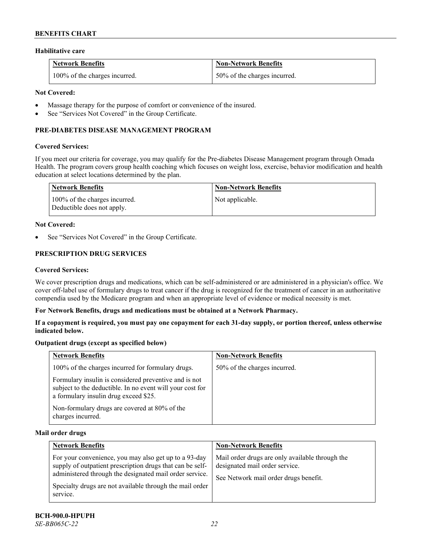#### **Habilitative care**

| <b>Network Benefits</b>       | <b>Non-Network Benefits</b>  |
|-------------------------------|------------------------------|
| 100% of the charges incurred. | 50% of the charges incurred. |

### **Not Covered:**

- Massage therapy for the purpose of comfort or convenience of the insured.
- See "Services Not Covered" in the Group Certificate.

### **PRE-DIABETES DISEASE MANAGEMENT PROGRAM**

#### **Covered Services:**

If you meet our criteria for coverage, you may qualify for the Pre-diabetes Disease Management program through Omada Health. The program covers group health coaching which focuses on weight loss, exercise, behavior modification and health education at select locations determined by the plan.

| Network Benefits                                            | <b>Non-Network Benefits</b> |
|-------------------------------------------------------------|-----------------------------|
| 100% of the charges incurred.<br>Deductible does not apply. | Not applicable.             |

#### **Not Covered:**

See "Services Not Covered" in the Group Certificate.

# **PRESCRIPTION DRUG SERVICES**

#### **Covered Services:**

We cover prescription drugs and medications, which can be self-administered or are administered in a physician's office. We cover off-label use of formulary drugs to treat cancer if the drug is recognized for the treatment of cancer in an authoritative compendia used by the Medicare program and when an appropriate level of evidence or medical necessity is met.

#### **For Network Benefits, drugs and medications must be obtained at a Network Pharmacy.**

**If a copayment is required, you must pay one copayment for each 31-day supply, or portion thereof, unless otherwise indicated below.**

### **Outpatient drugs (except as specified below)**

| <b>Network Benefits</b>                                                                                                                                     | <b>Non-Network Benefits</b>  |
|-------------------------------------------------------------------------------------------------------------------------------------------------------------|------------------------------|
| 100% of the charges incurred for formulary drugs.                                                                                                           | 50% of the charges incurred. |
| Formulary insulin is considered preventive and is not<br>subject to the deductible. In no event will your cost for<br>a formulary insulin drug exceed \$25. |                              |
| Non-formulary drugs are covered at 80% of the<br>charges incurred.                                                                                          |                              |

#### **Mail order drugs**

| <b>Network Benefits</b>                                                                                                                                                                                                                               | <b>Non-Network Benefits</b>                                                                                                |
|-------------------------------------------------------------------------------------------------------------------------------------------------------------------------------------------------------------------------------------------------------|----------------------------------------------------------------------------------------------------------------------------|
| For your convenience, you may also get up to a 93-day<br>supply of outpatient prescription drugs that can be self-<br>administered through the designated mail order service.<br>Specialty drugs are not available through the mail order<br>service. | Mail order drugs are only available through the<br>designated mail order service.<br>See Network mail order drugs benefit. |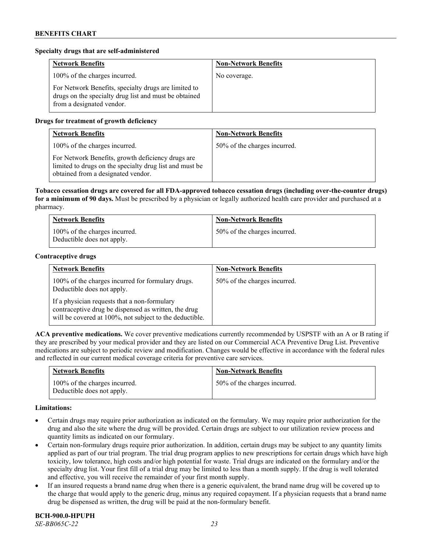#### **Specialty drugs that are self-administered**

| <b>Network Benefits</b>                                                                                                                    | <b>Non-Network Benefits</b> |
|--------------------------------------------------------------------------------------------------------------------------------------------|-----------------------------|
| 100% of the charges incurred.                                                                                                              | No coverage.                |
| For Network Benefits, specialty drugs are limited to<br>drugs on the specialty drug list and must be obtained<br>from a designated vendor. |                             |

### **Drugs for treatment of growth deficiency**

| <b>Network Benefits</b>                                                                                                                            | <b>Non-Network Benefits</b>  |
|----------------------------------------------------------------------------------------------------------------------------------------------------|------------------------------|
| 100% of the charges incurred.                                                                                                                      | 50% of the charges incurred. |
| For Network Benefits, growth deficiency drugs are<br>limited to drugs on the specialty drug list and must be<br>obtained from a designated vendor. |                              |

**Tobacco cessation drugs are covered for all FDA-approved tobacco cessation drugs (including over-the-counter drugs) for a minimum of 90 days.** Must be prescribed by a physician or legally authorized health care provider and purchased at a pharmacy.

| <b>Network Benefits</b>                                     | <b>Non-Network Benefits</b>  |
|-------------------------------------------------------------|------------------------------|
| 100% of the charges incurred.<br>Deductible does not apply. | 50% of the charges incurred. |

#### **Contraceptive drugs**

| <b>Network Benefits</b>                                                                                                                                         | <b>Non-Network Benefits</b>  |
|-----------------------------------------------------------------------------------------------------------------------------------------------------------------|------------------------------|
| 100% of the charges incurred for formulary drugs.<br>Deductible does not apply.                                                                                 | 50% of the charges incurred. |
| If a physician requests that a non-formulary<br>contraceptive drug be dispensed as written, the drug<br>will be covered at 100%, not subject to the deductible. |                              |

**ACA preventive medications.** We cover preventive medications currently recommended by USPSTF with an A or B rating if they are prescribed by your medical provider and they are listed on our Commercial ACA Preventive Drug List. Preventive medications are subject to periodic review and modification. Changes would be effective in accordance with the federal rules and reflected in our current medical coverage criteria for preventive care services.

| <b>Network Benefits</b>                                     | <b>Non-Network Benefits</b>  |
|-------------------------------------------------------------|------------------------------|
| 100% of the charges incurred.<br>Deductible does not apply. | 50% of the charges incurred. |

#### **Limitations:**

- Certain drugs may require prior authorization as indicated on the formulary. We may require prior authorization for the drug and also the site where the drug will be provided. Certain drugs are subject to our utilization review process and quantity limits as indicated on our formulary.
- Certain non-formulary drugs require prior authorization. In addition, certain drugs may be subject to any quantity limits applied as part of our trial program. The trial drug program applies to new prescriptions for certain drugs which have high toxicity, low tolerance, high costs and/or high potential for waste. Trial drugs are indicated on the formulary and/or the specialty drug list. Your first fill of a trial drug may be limited to less than a month supply. If the drug is well tolerated and effective, you will receive the remainder of your first month supply.
- If an insured requests a brand name drug when there is a generic equivalent, the brand name drug will be covered up to the charge that would apply to the generic drug, minus any required copayment. If a physician requests that a brand name drug be dispensed as written, the drug will be paid at the non-formulary benefit.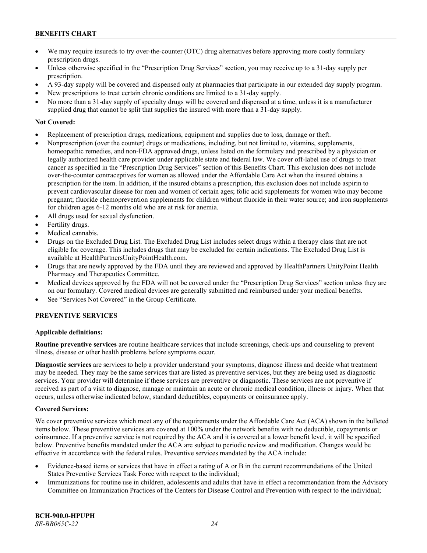- We may require insureds to try over-the-counter (OTC) drug alternatives before approving more costly formulary prescription drugs.
- Unless otherwise specified in the "Prescription Drug Services" section, you may receive up to a 31-day supply per prescription.
- A 93-day supply will be covered and dispensed only at pharmacies that participate in our extended day supply program.
- New prescriptions to treat certain chronic conditions are limited to a 31-day supply.
- No more than a 31-day supply of specialty drugs will be covered and dispensed at a time, unless it is a manufacturer supplied drug that cannot be split that supplies the insured with more than a 31-day supply.

#### **Not Covered:**

- Replacement of prescription drugs, medications, equipment and supplies due to loss, damage or theft.
- Nonprescription (over the counter) drugs or medications, including, but not limited to, vitamins, supplements, homeopathic remedies, and non-FDA approved drugs, unless listed on the formulary and prescribed by a physician or legally authorized health care provider under applicable state and federal law. We cover off-label use of drugs to treat cancer as specified in the "Prescription Drug Services" section of this Benefits Chart. This exclusion does not include over-the-counter contraceptives for women as allowed under the Affordable Care Act when the insured obtains a prescription for the item. In addition, if the insured obtains a prescription, this exclusion does not include aspirin to prevent cardiovascular disease for men and women of certain ages; folic acid supplements for women who may become pregnant; fluoride chemoprevention supplements for children without fluoride in their water source; and iron supplements for children ages 6-12 months old who are at risk for anemia.
- All drugs used for sexual dysfunction.
- Fertility drugs.
- Medical cannabis.
- Drugs on the Excluded Drug List. The Excluded Drug List includes select drugs within a therapy class that are not eligible for coverage. This includes drugs that may be excluded for certain indications. The Excluded Drug List is available a[t HealthPartnersUnityPointHealth.com.](https://www.healthpartnersunitypointhealth.com/)
- Drugs that are newly approved by the FDA until they are reviewed and approved by HealthPartners UnityPoint Health Pharmacy and Therapeutics Committee.
- Medical devices approved by the FDA will not be covered under the "Prescription Drug Services" section unless they are on our formulary. Covered medical devices are generally submitted and reimbursed under your medical benefits.
- See "Services Not Covered" in the Group Certificate.

### **PREVENTIVE SERVICES**

### **Applicable definitions:**

**Routine preventive services** are routine healthcare services that include screenings, check-ups and counseling to prevent illness, disease or other health problems before symptoms occur.

**Diagnostic services** are services to help a provider understand your symptoms, diagnose illness and decide what treatment may be needed. They may be the same services that are listed as preventive services, but they are being used as diagnostic services. Your provider will determine if these services are preventive or diagnostic. These services are not preventive if received as part of a visit to diagnose, manage or maintain an acute or chronic medical condition, illness or injury. When that occurs, unless otherwise indicated below, standard deductibles, copayments or coinsurance apply.

### **Covered Services:**

We cover preventive services which meet any of the requirements under the Affordable Care Act (ACA) shown in the bulleted items below. These preventive services are covered at 100% under the network benefits with no deductible, copayments or coinsurance. If a preventive service is not required by the ACA and it is covered at a lower benefit level, it will be specified below. Preventive benefits mandated under the ACA are subject to periodic review and modification. Changes would be effective in accordance with the federal rules. Preventive services mandated by the ACA include:

- Evidence-based items or services that have in effect a rating of A or B in the current recommendations of the United States Preventive Services Task Force with respect to the individual;
- Immunizations for routine use in children, adolescents and adults that have in effect a recommendation from the Advisory Committee on Immunization Practices of the Centers for Disease Control and Prevention with respect to the individual;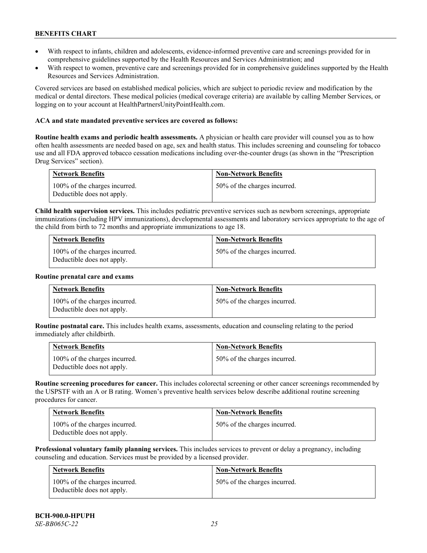- With respect to infants, children and adolescents, evidence-informed preventive care and screenings provided for in comprehensive guidelines supported by the Health Resources and Services Administration; and
- With respect to women, preventive care and screenings provided for in comprehensive guidelines supported by the Health Resources and Services Administration.

Covered services are based on established medical policies, which are subject to periodic review and modification by the medical or dental directors. These medical policies (medical coverage criteria) are available by calling Member Services, or logging on to your account at [HealthPartnersUnityPointHealth.com.](https://www.healthpartnersunitypointhealth.com/)

#### **ACA and state mandated preventive services are covered as follows:**

**Routine health exams and periodic health assessments.** A physician or health care provider will counsel you as to how often health assessments are needed based on age, sex and health status. This includes screening and counseling for tobacco use and all FDA approved tobacco cessation medications including over-the-counter drugs (as shown in the "Prescription Drug Services" section).

| <b>Network Benefits</b>                                     | <b>Non-Network Benefits</b>  |
|-------------------------------------------------------------|------------------------------|
| 100% of the charges incurred.<br>Deductible does not apply. | 50% of the charges incurred. |

**Child health supervision services.** This includes pediatric preventive services such as newborn screenings, appropriate immunizations (including HPV immunizations), developmental assessments and laboratory services appropriate to the age of the child from birth to 72 months and appropriate immunizations to age 18.

| <b>Network Benefits</b>                                     | <b>Non-Network Benefits</b>  |
|-------------------------------------------------------------|------------------------------|
| 100% of the charges incurred.<br>Deductible does not apply. | 50% of the charges incurred. |

#### **Routine prenatal care and exams**

| <b>Network Benefits</b>                                     | <b>Non-Network Benefits</b>  |
|-------------------------------------------------------------|------------------------------|
| 100% of the charges incurred.<br>Deductible does not apply. | 50% of the charges incurred. |

**Routine postnatal care.** This includes health exams, assessments, education and counseling relating to the period immediately after childbirth.

| <b>Network Benefits</b> |                                                             | <b>Non-Network Benefits</b>  |
|-------------------------|-------------------------------------------------------------|------------------------------|
|                         | 100% of the charges incurred.<br>Deductible does not apply. | 50% of the charges incurred. |

**Routine screening procedures for cancer.** This includes colorectal screening or other cancer screenings recommended by the USPSTF with an A or B rating. Women's preventive health services below describe additional routine screening procedures for cancer.

| <b>Network Benefits</b>                                     | <b>Non-Network Benefits</b>  |
|-------------------------------------------------------------|------------------------------|
| 100% of the charges incurred.<br>Deductible does not apply. | 50% of the charges incurred. |

**Professional voluntary family planning services.** This includes services to prevent or delay a pregnancy, including counseling and education. Services must be provided by a licensed provider.

| Network Benefits                                            | <b>Non-Network Benefits</b>  |
|-------------------------------------------------------------|------------------------------|
| 100% of the charges incurred.<br>Deductible does not apply. | 50% of the charges incurred. |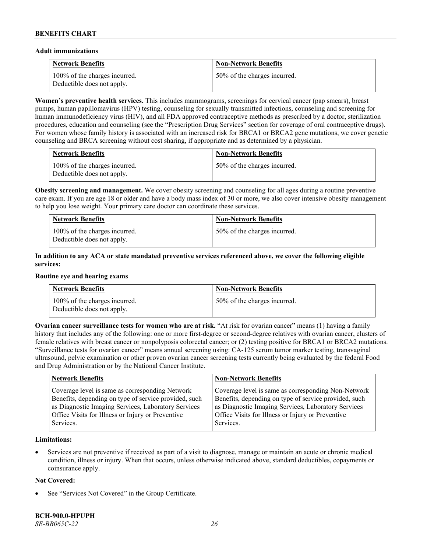#### **Adult immunizations**

| <b>Network Benefits</b>                                     | <b>Non-Network Benefits</b>  |
|-------------------------------------------------------------|------------------------------|
| 100% of the charges incurred.<br>Deductible does not apply. | 50% of the charges incurred. |

**Women's preventive health services.** This includes mammograms, screenings for cervical cancer (pap smears), breast pumps, human papillomavirus (HPV) testing, counseling for sexually transmitted infections, counseling and screening for human immunodeficiency virus (HIV), and all FDA approved contraceptive methods as prescribed by a doctor, sterilization procedures, education and counseling (see the "Prescription Drug Services" section for coverage of oral contraceptive drugs). For women whose family history is associated with an increased risk for BRCA1 or BRCA2 gene mutations, we cover genetic counseling and BRCA screening without cost sharing, if appropriate and as determined by a physician.

| <b>Network Benefits</b>                                     | <b>Non-Network Benefits</b>  |
|-------------------------------------------------------------|------------------------------|
| 100% of the charges incurred.<br>Deductible does not apply. | 50% of the charges incurred. |

**Obesity screening and management.** We cover obesity screening and counseling for all ages during a routine preventive care exam. If you are age 18 or older and have a body mass index of 30 or more, we also cover intensive obesity management to help you lose weight. Your primary care doctor can coordinate these services.

| <b>Network Benefits</b>                                     | <b>Non-Network Benefits</b>  |
|-------------------------------------------------------------|------------------------------|
| 100% of the charges incurred.<br>Deductible does not apply. | 50% of the charges incurred. |

### **In addition to any ACA or state mandated preventive services referenced above, we cover the following eligible services:**

#### **Routine eye and hearing exams**

| <b>Network Benefits</b>                                     | <b>Non-Network Benefits</b>  |
|-------------------------------------------------------------|------------------------------|
| 100% of the charges incurred.<br>Deductible does not apply. | 50% of the charges incurred. |

**Ovarian cancer surveillance tests for women who are at risk.** "At risk for ovarian cancer" means (1) having a family history that includes any of the following: one or more first-degree or second-degree relatives with ovarian cancer, clusters of female relatives with breast cancer or nonpolyposis colorectal cancer; or (2) testing positive for BRCA1 or BRCA2 mutations. "Surveillance tests for ovarian cancer" means annual screening using: CA-125 serum tumor marker testing, transvaginal ultrasound, pelvic examination or other proven ovarian cancer screening tests currently being evaluated by the federal Food and Drug Administration or by the National Cancer Institute.

| <b>Network Benefits</b>                               | <b>Non-Network Benefits</b>                           |
|-------------------------------------------------------|-------------------------------------------------------|
| Coverage level is same as corresponding Network       | Coverage level is same as corresponding Non-Network   |
| Benefits, depending on type of service provided, such | Benefits, depending on type of service provided, such |
| as Diagnostic Imaging Services, Laboratory Services   | as Diagnostic Imaging Services, Laboratory Services   |
| Office Visits for Illness or Injury or Preventive     | Office Visits for Illness or Injury or Preventive     |
| Services.                                             | Services.                                             |

### **Limitations:**

• Services are not preventive if received as part of a visit to diagnose, manage or maintain an acute or chronic medical condition, illness or injury. When that occurs, unless otherwise indicated above, standard deductibles, copayments or coinsurance apply.

### **Not Covered:**

See "Services Not Covered" in the Group Certificate.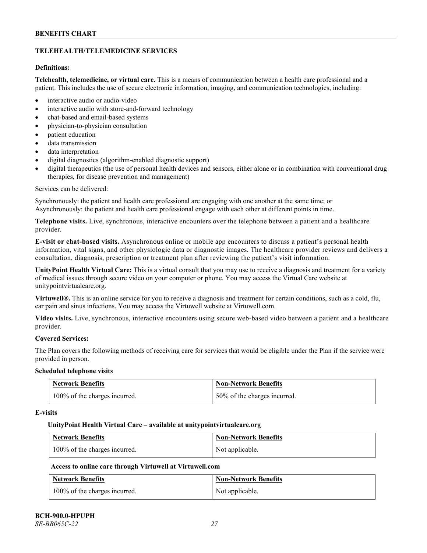### **TELEHEALTH/TELEMEDICINE SERVICES**

### **Definitions:**

**Telehealth, telemedicine, or virtual care.** This is a means of communication between a health care professional and a patient. This includes the use of secure electronic information, imaging, and communication technologies, including:

- interactive audio or audio-video
- interactive audio with store-and-forward technology
- chat-based and email-based systems
- physician-to-physician consultation
- patient education
- data transmission
- data interpretation
- digital diagnostics (algorithm-enabled diagnostic support)
- digital therapeutics (the use of personal health devices and sensors, either alone or in combination with conventional drug therapies, for disease prevention and management)

#### Services can be delivered:

Synchronously: the patient and health care professional are engaging with one another at the same time; or Asynchronously: the patient and health care professional engage with each other at different points in time.

**Telephone visits.** Live, synchronous, interactive encounters over the telephone between a patient and a healthcare provider.

**E-visit or chat-based visits.** Asynchronous online or mobile app encounters to discuss a patient's personal health information, vital signs, and other physiologic data or diagnostic images. The healthcare provider reviews and delivers a consultation, diagnosis, prescription or treatment plan after reviewing the patient's visit information.

**UnityPoint Health Virtual Care:** This is a virtual consult that you may use to receive a diagnosis and treatment for a variety of medical issues through secure video on your computer or phone. You may access the Virtual Care website at [unitypointvirtualcare.org.](https://unitypointvirtualcare.org/landing.htm)

**Virtuwell®.** This is an online service for you to receive a diagnosis and treatment for certain conditions, such as a cold, flu, ear pain and sinus infections. You may access the Virtuwell website at [Virtuwell.com.](https://www.virtuwell.com/)

**Video visits.** Live, synchronous, interactive encounters using secure web-based video between a patient and a healthcare provider.

### **Covered Services:**

The Plan covers the following methods of receiving care for services that would be eligible under the Plan if the service were provided in person.

#### **Scheduled telephone visits**

| <b>Network Benefits</b>       | <b>Non-Network Benefits</b>  |
|-------------------------------|------------------------------|
| 100% of the charges incurred. | 50% of the charges incurred. |

#### **E-visits**

#### **UnityPoint Health Virtual Care – available a[t unitypointvirtualcare.org](http://www.unitypointvirtualcare.org/)**

| <b>Network Benefits</b>       | <b>Non-Network Benefits</b> |
|-------------------------------|-----------------------------|
| 100% of the charges incurred. | Not applicable.             |

### **Access to online care through Virtuwell at [Virtuwell.com](http://www.virtuwell.com/)**

| <b>Network Benefits</b>       | <b>Non-Network Benefits</b> |
|-------------------------------|-----------------------------|
| 100% of the charges incurred. | Not applicable.             |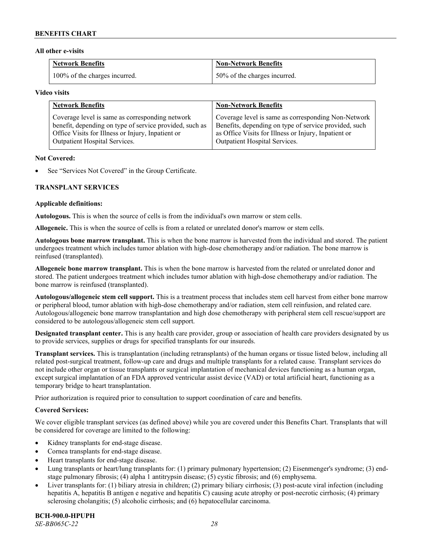#### **All other e-visits**

| <b>Network Benefits</b>       | <b>Non-Network Benefits</b>  |
|-------------------------------|------------------------------|
| 100% of the charges incurred. | 50% of the charges incurred. |

#### **Video visits**

| <b>Network Benefits</b>                                 | <b>Non-Network Benefits</b>                           |
|---------------------------------------------------------|-------------------------------------------------------|
| Coverage level is same as corresponding network         | Coverage level is same as corresponding Non-Network   |
| benefit, depending on type of service provided, such as | Benefits, depending on type of service provided, such |
| Office Visits for Illness or Injury, Inpatient or       | as Office Visits for Illness or Injury, Inpatient or  |
| Outpatient Hospital Services.                           | Outpatient Hospital Services.                         |

#### **Not Covered:**

See "Services Not Covered" in the Group Certificate.

### **TRANSPLANT SERVICES**

#### **Applicable definitions:**

**Autologous.** This is when the source of cells is from the individual's own marrow or stem cells.

**Allogeneic.** This is when the source of cells is from a related or unrelated donor's marrow or stem cells.

**Autologous bone marrow transplant.** This is when the bone marrow is harvested from the individual and stored. The patient undergoes treatment which includes tumor ablation with high-dose chemotherapy and/or radiation. The bone marrow is reinfused (transplanted).

**Allogeneic bone marrow transplant.** This is when the bone marrow is harvested from the related or unrelated donor and stored. The patient undergoes treatment which includes tumor ablation with high-dose chemotherapy and/or radiation. The bone marrow is reinfused (transplanted).

**Autologous/allogeneic stem cell support.** This is a treatment process that includes stem cell harvest from either bone marrow or peripheral blood, tumor ablation with high-dose chemotherapy and/or radiation, stem cell reinfusion, and related care. Autologous/allogeneic bone marrow transplantation and high dose chemotherapy with peripheral stem cell rescue/support are considered to be autologous/allogeneic stem cell support.

**Designated transplant center.** This is any health care provider, group or association of health care providers designated by us to provide services, supplies or drugs for specified transplants for our insureds.

**Transplant services.** This is transplantation (including retransplants) of the human organs or tissue listed below, including all related post-surgical treatment, follow-up care and drugs and multiple transplants for a related cause. Transplant services do not include other organ or tissue transplants or surgical implantation of mechanical devices functioning as a human organ, except surgical implantation of an FDA approved ventricular assist device (VAD) or total artificial heart, functioning as a temporary bridge to heart transplantation.

Prior authorization is required prior to consultation to support coordination of care and benefits.

### **Covered Services:**

We cover eligible transplant services (as defined above) while you are covered under this Benefits Chart. Transplants that will be considered for coverage are limited to the following:

- Kidney transplants for end-stage disease.
- Cornea transplants for end-stage disease.
- Heart transplants for end-stage disease.
- Lung transplants or heart/lung transplants for: (1) primary pulmonary hypertension; (2) Eisenmenger's syndrome; (3) endstage pulmonary fibrosis; (4) alpha 1 antitrypsin disease; (5) cystic fibrosis; and (6) emphysema.
- Liver transplants for: (1) biliary atresia in children; (2) primary biliary cirrhosis; (3) post-acute viral infection (including hepatitis A, hepatitis B antigen e negative and hepatitis C) causing acute atrophy or post-necrotic cirrhosis; (4) primary sclerosing cholangitis; (5) alcoholic cirrhosis; and (6) hepatocellular carcinoma.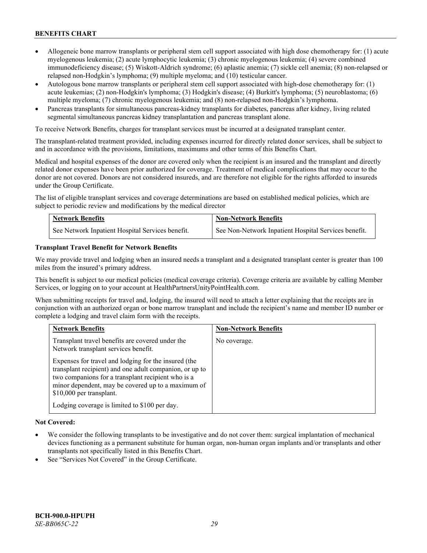- Allogeneic bone marrow transplants or peripheral stem cell support associated with high dose chemotherapy for: (1) acute myelogenous leukemia; (2) acute lymphocytic leukemia; (3) chronic myelogenous leukemia; (4) severe combined immunodeficiency disease; (5) Wiskott-Aldrich syndrome; (6) aplastic anemia; (7) sickle cell anemia; (8) non-relapsed or relapsed non-Hodgkin's lymphoma; (9) multiple myeloma; and (10) testicular cancer.
- Autologous bone marrow transplants or peripheral stem cell support associated with high-dose chemotherapy for: (1) acute leukemias; (2) non-Hodgkin's lymphoma; (3) Hodgkin's disease; (4) Burkitt's lymphoma; (5) neuroblastoma; (6) multiple myeloma; (7) chronic myelogenous leukemia; and (8) non-relapsed non-Hodgkin's lymphoma.
- Pancreas transplants for simultaneous pancreas-kidney transplants for diabetes, pancreas after kidney, living related segmental simultaneous pancreas kidney transplantation and pancreas transplant alone.

To receive Network Benefits, charges for transplant services must be incurred at a designated transplant center.

The transplant-related treatment provided, including expenses incurred for directly related donor services, shall be subject to and in accordance with the provisions, limitations, maximums and other terms of this Benefits Chart.

Medical and hospital expenses of the donor are covered only when the recipient is an insured and the transplant and directly related donor expenses have been prior authorized for coverage. Treatment of medical complications that may occur to the donor are not covered. Donors are not considered insureds, and are therefore not eligible for the rights afforded to insureds under the Group Certificate.

The list of eligible transplant services and coverage determinations are based on established medical policies, which are subject to periodic review and modifications by the medical director

| <b>Network Benefits</b>                          | <b>Non-Network Benefits</b>                          |
|--------------------------------------------------|------------------------------------------------------|
| See Network Inpatient Hospital Services benefit. | See Non-Network Inpatient Hospital Services benefit. |

### **Transplant Travel Benefit for Network Benefits**

We may provide travel and lodging when an insured needs a transplant and a designated transplant center is greater than 100 miles from the insured's primary address.

This benefit is subject to our medical policies (medical coverage criteria). Coverage criteria are available by calling Member Services, or logging on to your account at [HealthPartnersUnityPointHealth.com.](https://www.healthpartnersunitypointhealth.com/)

When submitting receipts for travel and, lodging, the insured will need to attach a letter explaining that the receipts are in conjunction with an authorized organ or bone marrow transplant and include the recipient's name and member ID number or complete a lodging and travel claim form with the receipts.

| <b>Network Benefits</b>                                                                                                                                                                                                                                 | <b>Non-Network Benefits</b> |
|---------------------------------------------------------------------------------------------------------------------------------------------------------------------------------------------------------------------------------------------------------|-----------------------------|
| Transplant travel benefits are covered under the<br>Network transplant services benefit.                                                                                                                                                                | No coverage.                |
| Expenses for travel and lodging for the insured (the<br>transplant recipient) and one adult companion, or up to<br>two companions for a transplant recipient who is a<br>minor dependent, may be covered up to a maximum of<br>\$10,000 per transplant. |                             |
| Lodging coverage is limited to \$100 per day.                                                                                                                                                                                                           |                             |

### **Not Covered:**

- We consider the following transplants to be investigative and do not cover them: surgical implantation of mechanical devices functioning as a permanent substitute for human organ, non-human organ implants and/or transplants and other transplants not specifically listed in this Benefits Chart.
- See "Services Not Covered" in the Group Certificate.